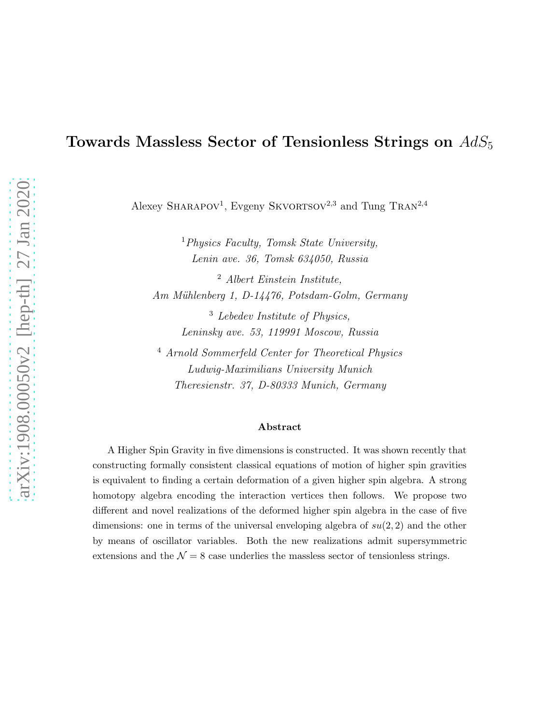# Towards Massless Sector of Tensionless Strings on  $AdS_5$

Alexey SHARAPOV<sup>1</sup>, Evgeny SKVORTSOV<sup>2,3</sup> and Tung TRAN<sup>2,4</sup>

<sup>1</sup>Physics Faculty, Tomsk State University, Lenin ave. 36, Tomsk 634050, Russia

<sup>2</sup> Albert Einstein Institute, Am Mühlenberg 1, D-14476, Potsdam-Golm, Germany

> <sup>3</sup> Lebedev Institute of Physics, Leninsky ave. 53, 119991 Moscow, Russia

<sup>4</sup> Arnold Sommerfeld Center for Theoretical Physics Ludwig-Maximilians University Munich Theresienstr. 37, D-80333 Munich, Germany

#### Abstract

A Higher Spin Gravity in five dimensions is constructed. It was shown recently that constructing formally consistent classical equations of motion of higher spin gravities is equivalent to finding a certain deformation of a given higher spin algebra. A strong homotopy algebra encoding the interaction vertices then follows. We propose two different and novel realizations of the deformed higher spin algebra in the case of five dimensions: one in terms of the universal enveloping algebra of  $su(2, 2)$  and the other by means of oscillator variables. Both the new realizations admit supersymmetric extensions and the  $\mathcal{N} = 8$  case underlies the massless sector of tensionless strings.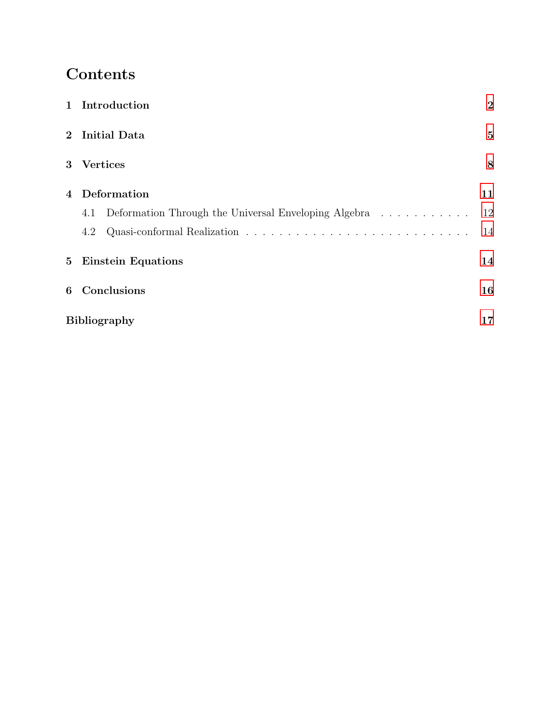# Contents

|                | 1 Introduction                                              | $\boldsymbol{2}$ |
|----------------|-------------------------------------------------------------|------------------|
|                | 2 Initial Data                                              | $\bf{5}$         |
|                | 3 Vertices                                                  | 8                |
|                | 4 Deformation                                               | 11               |
|                | Deformation Through the Universal Enveloping Algebra<br>4.1 | 12               |
|                | 4.2                                                         | 14               |
|                | 5 Einstein Equations                                        | 14               |
| 6 <sup>1</sup> | Conclusions                                                 | 16               |
|                | <b>Bibliography</b><br>17                                   |                  |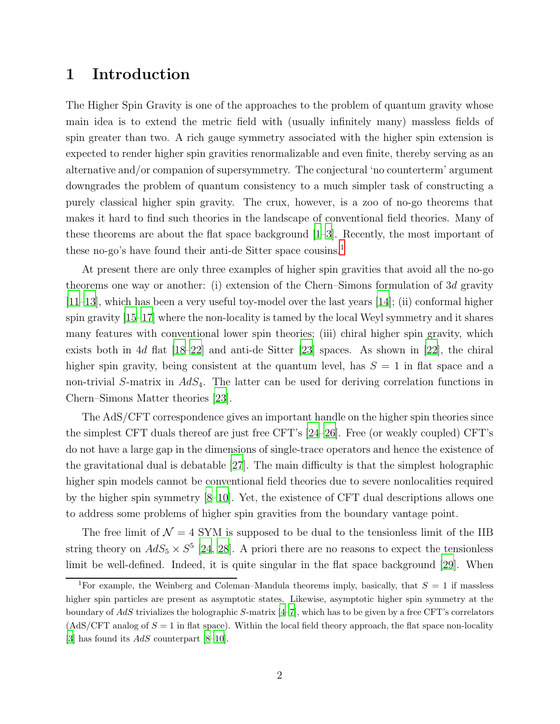### <span id="page-2-0"></span>1 Introduction

The Higher Spin Gravity is one of the approaches to the problem of quantum gravity whose main idea is to extend the metric field with (usually infinitely many) massless fields of spin greater than two. A rich gauge symmetry associated with the higher spin extension is expected to render higher spin gravities renormalizable and even finite, thereby serving as an alternative and/or companion of supersymmetry. The conjectural 'no counterterm' argument downgrades the problem of quantum consistency to a much simpler task of constructing a purely classical higher spin gravity. The crux, however, is a zoo of no-go theorems that makes it hard to find such theories in the landscape of conventional field theories. Many of these theorems are about the flat space background [\[1](#page-17-1)[–3\]](#page-17-2). Recently, the most important of these no-go's have found their anti-de Sitter space cousins.[1](#page-2-1)

At present there are only three examples of higher spin gravities that avoid all the no-go theorems one way or another: (i) extension of the Chern–Simons formulation of 3d gravity [\[11](#page-17-3)[–13\]](#page-17-4), which has been a very useful toy-model over the last years [\[14](#page-17-5)]; (ii) conformal higher spin gravity [\[15](#page-18-0)[–17\]](#page-18-1) where the non-locality is tamed by the local Weyl symmetry and it shares many features with conventional lower spin theories; (iii) chiral higher spin gravity, which exists both in 4d flat  $[18–22]$  $[18–22]$  $[18–22]$  and anti-de Sitter  $[23]$  spaces. As shown in  $[22]$ , the chiral higher spin gravity, being consistent at the quantum level, has  $S = 1$  in flat space and a non-trivial S-matrix in  $AdS<sub>4</sub>$ . The latter can be used for deriving correlation functions in Chern–Simons Matter theories [\[23](#page-18-4)].

The AdS/CFT correspondence gives an important handle on the higher spin theories since the simplest CFT duals thereof are just free CFT's [\[24](#page-18-5)[–26\]](#page-18-6). Free (or weakly coupled) CFT's do not have a large gap in the dimensions of single-trace operators and hence the existence of the gravitational dual is debatable [\[27\]](#page-18-7). The main difficulty is that the simplest holographic higher spin models cannot be conventional field theories due to severe nonlocalities required by the higher spin symmetry [\[8](#page-17-6)[–10\]](#page-17-7). Yet, the existence of CFT dual descriptions allows one to address some problems of higher spin gravities from the boundary vantage point.

The free limit of  $\mathcal{N} = 4$  SYM is supposed to be dual to the tensionless limit of the IIB string theory on  $AdS_5 \times S^5$  [\[24](#page-18-5), [28](#page-18-8)]. A priori there are no reasons to expect the tensionless limit be well-defined. Indeed, it is quite singular in the flat space background [\[29](#page-18-9)]. When

<span id="page-2-1"></span><sup>&</sup>lt;sup>1</sup>For example, the Weinberg and Coleman–Mandula theorems imply, basically, that  $S = 1$  if massless higher spin particles are present as asymptotic states. Likewise, asymptotic higher spin symmetry at the boundary of AdS trivializes the holographic S-matrix  $[4-7]$ , which has to be given by a free CFT's correlators  $(AdS/CFT$  analog of  $S = 1$  in flat space). Within the local field theory approach, the flat space non-locality [\[3\]](#page-17-2) has found its  $AdS$  counterpart [\[8](#page-17-6)[–10\]](#page-17-7).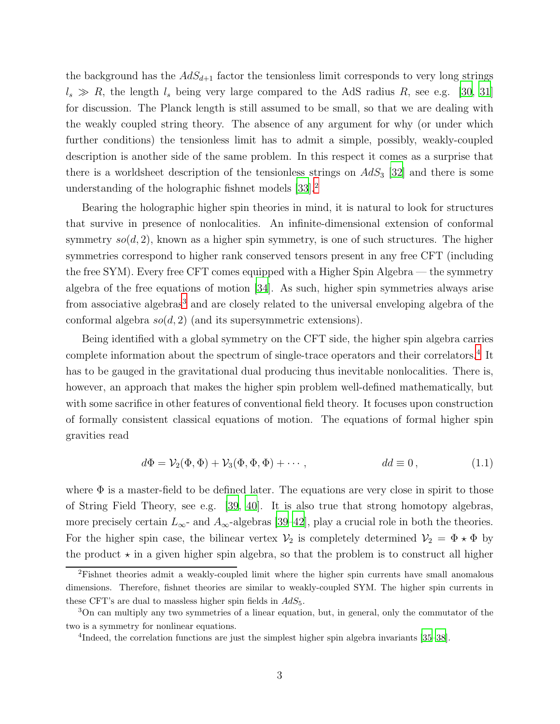the background has the  $AdS_{d+1}$  factor the tensionless limit corresponds to very long strings  $l_s \gg R$ , the length  $l_s$  being very large compared to the AdS radius R, see e.g. [\[30](#page-18-10), [31\]](#page-18-11) for discussion. The Planck length is still assumed to be small, so that we are dealing with the weakly coupled string theory. The absence of any argument for why (or under which further conditions) the tensionless limit has to admit a simple, possibly, weakly-coupled description is another side of the same problem. In this respect it comes as a surprise that there is a worldsheet description of the tensionless strings on  $AdS_3$  [\[32](#page-18-12)] and there is some understanding of the holographic fishnet models [\[33\]](#page-18-13).[2](#page-3-0)

Bearing the holographic higher spin theories in mind, it is natural to look for structures that survive in presence of nonlocalities. An infinite-dimensional extension of conformal symmetry  $so(d, 2)$ , known as a higher spin symmetry, is one of such structures. The higher symmetries correspond to higher rank conserved tensors present in any free CFT (including the free SYM). Every free CFT comes equipped with a Higher Spin Algebra — the symmetry algebra of the free equations of motion [\[34](#page-18-14)]. As such, higher spin symmetries always arise from associative algebras<sup>[3](#page-3-1)</sup> and are closely related to the universal enveloping algebra of the conformal algebra  $so(d, 2)$  (and its supersymmetric extensions).

Being identified with a global symmetry on the CFT side, the higher spin algebra carries complete information about the spectrum of single-trace operators and their correlators.<sup>[4](#page-3-2)</sup> It has to be gauged in the gravitational dual producing thus inevitable nonlocalities. There is, however, an approach that makes the higher spin problem well-defined mathematically, but with some sacrifice in other features of conventional field theory. It focuses upon construction of formally consistent classical equations of motion. The equations of formal higher spin gravities read

<span id="page-3-3"></span>
$$
d\Phi = \mathcal{V}_2(\Phi, \Phi) + \mathcal{V}_3(\Phi, \Phi, \Phi) + \cdots, \qquad dd \equiv 0, \qquad (1.1)
$$

where  $\Phi$  is a master-field to be defined later. The equations are very close in spirit to those of String Field Theory, see e.g. [\[39,](#page-19-0) [40](#page-19-1)]. It is also true that strong homotopy algebras, more precisely certain  $L_{\infty}$ - and  $A_{\infty}$ -algebras [\[39](#page-19-0)[–42\]](#page-19-2), play a crucial role in both the theories. For the higher spin case, the bilinear vertex  $\mathcal{V}_2$  is completely determined  $\mathcal{V}_2 = \Phi \star \Phi$  by the product  $\star$  in a given higher spin algebra, so that the problem is to construct all higher

<span id="page-3-0"></span><sup>&</sup>lt;sup>2</sup>Fishnet theories admit a weakly-coupled limit where the higher spin currents have small anomalous dimensions. Therefore, fishnet theories are similar to weakly-coupled SYM. The higher spin currents in these CFT's are dual to massless higher spin fields in  $AdS_5$ .

<sup>3</sup>On can multiply any two symmetries of a linear equation, but, in general, only the commutator of the two is a symmetry for nonlinear equations.

<span id="page-3-2"></span><span id="page-3-1"></span><sup>&</sup>lt;sup>4</sup>Indeed, the correlation functions are just the simplest higher spin algebra invariants [\[35](#page-18-15)[–38](#page-19-3)].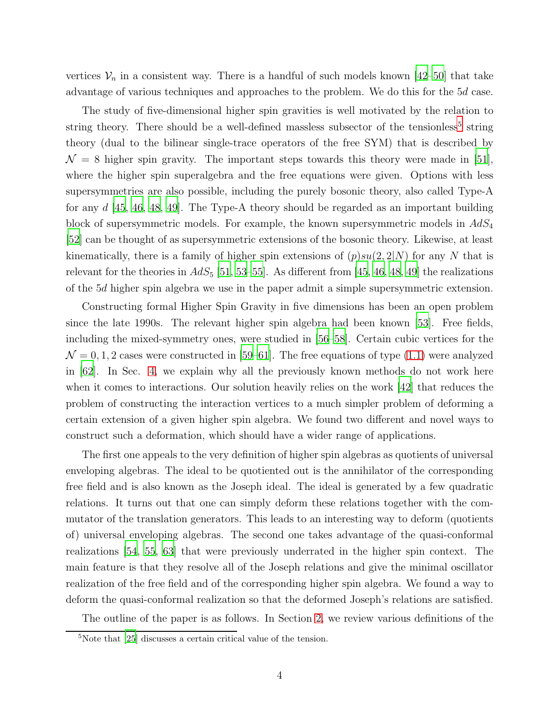vertices  $V_n$  in a consistent way. There is a handful of such models known [\[42](#page-19-2)[–50\]](#page-19-4) that take advantage of various techniques and approaches to the problem. We do this for the 5d case.

The study of five-dimensional higher spin gravities is well motivated by the relation to string theory. There should be a well-defined massless subsector of the tensionless<sup>[5](#page-4-0)</sup> string theory (dual to the bilinear single-trace operators of the free SYM) that is described by  $\mathcal{N} = 8$  higher spin gravity. The important steps towards this theory were made in [\[51](#page-19-5)], where the higher spin superalgebra and the free equations were given. Options with less supersymmetries are also possible, including the purely bosonic theory, also called Type-A for any  $d \mid 45, 46, 48, 49$  $d \mid 45, 46, 48, 49$  $d \mid 45, 46, 48, 49$  $d \mid 45, 46, 48, 49$  $d \mid 45, 46, 48, 49$  $d \mid 45, 46, 48, 49$ . The Type-A theory should be regarded as an important building block of supersymmetric models. For example, the known supersymmetric models in  $AdS_4$ [\[52\]](#page-19-10) can be thought of as supersymmetric extensions of the bosonic theory. Likewise, at least kinematically, there is a family of higher spin extensions of  $(p)su(2, 2|N)$  for any N that is relevant for the theories in  $AdS_5$  [\[51,](#page-19-5) [53](#page-19-11)[–55\]](#page-19-12). As different from [\[45](#page-19-6), [46](#page-19-7), [48](#page-19-8), [49](#page-19-9)] the realizations of the 5d higher spin algebra we use in the paper admit a simple supersymmetric extension.

Constructing formal Higher Spin Gravity in five dimensions has been an open problem since the late 1990s. The relevant higher spin algebra had been known [\[53\]](#page-19-11). Free fields, including the mixed-symmetry ones, were studied in [\[56](#page-19-13)[–58](#page-20-0)]. Certain cubic vertices for the  $\mathcal{N} = 0, 1, 2$  cases were constructed in [\[59](#page-20-1)[–61](#page-20-2)]. The free equations of type [\(1.1\)](#page-3-3) were analyzed in [\[62](#page-20-3)]. In Sec. [4,](#page-11-0) we explain why all the previously known methods do not work here when it comes to interactions. Our solution heavily relies on the work [\[42](#page-19-2)] that reduces the problem of constructing the interaction vertices to a much simpler problem of deforming a certain extension of a given higher spin algebra. We found two different and novel ways to construct such a deformation, which should have a wider range of applications.

The first one appeals to the very definition of higher spin algebras as quotients of universal enveloping algebras. The ideal to be quotiented out is the annihilator of the corresponding free field and is also known as the Joseph ideal. The ideal is generated by a few quadratic relations. It turns out that one can simply deform these relations together with the commutator of the translation generators. This leads to an interesting way to deform (quotients of) universal enveloping algebras. The second one takes advantage of the quasi-conformal realizations [\[54](#page-19-14), [55,](#page-19-12) [63\]](#page-20-4) that were previously underrated in the higher spin context. The main feature is that they resolve all of the Joseph relations and give the minimal oscillator realization of the free field and of the corresponding higher spin algebra. We found a way to deform the quasi-conformal realization so that the deformed Joseph's relations are satisfied.

The outline of the paper is as follows. In Section [2,](#page-5-0) we review various definitions of the

<span id="page-4-0"></span><sup>5</sup>Note that [\[25](#page-18-16)] discusses a certain critical value of the tension.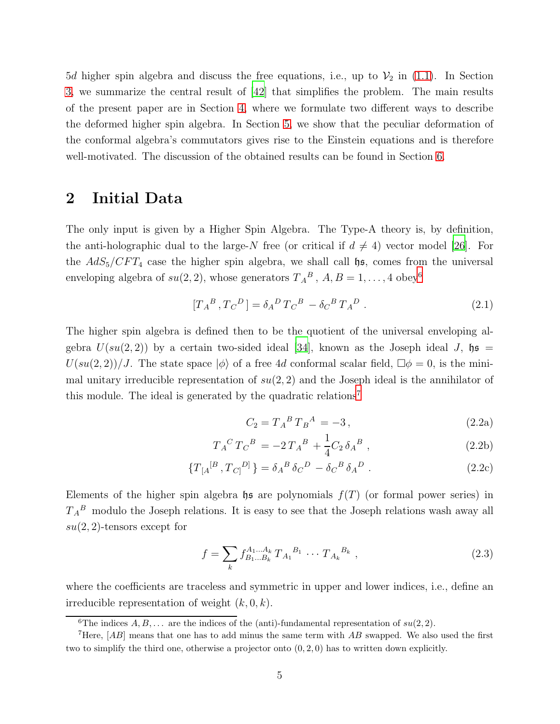5d higher spin algebra and discuss the free equations, i.e., up to  $V_2$  in [\(1.1\)](#page-3-3). In Section [3,](#page-8-0) we summarize the central result of [\[42\]](#page-19-2) that simplifies the problem. The main results of the present paper are in Section [4,](#page-11-0) where we formulate two different ways to describe the deformed higher spin algebra. In Section [5,](#page-14-1) we show that the peculiar deformation of the conformal algebra's commutators gives rise to the Einstein equations and is therefore well-motivated. The discussion of the obtained results can be found in Section [6.](#page-16-0)

### <span id="page-5-0"></span>2 Initial Data

The only input is given by a Higher Spin Algebra. The Type-A theory is, by definition, the anti-holographic dual to the large-N free (or critical if  $d \neq 4$ ) vector model [\[26](#page-18-6)]. For the  $AdS_5/CFT_4$  case the higher spin algebra, we shall call  $\mathfrak{hs}$ , comes from the universal enveloping algebra of  $su(2, 2)$ , whose generators  $T_A^B$ ,  $A, B = 1, ..., 4$  obey<sup>[6](#page-5-1)</sup>

$$
[T_A{}^B, T_C{}^D] = \delta_A{}^D T_C{}^B - \delta_C{}^B T_A{}^D . \qquad (2.1)
$$

The higher spin algebra is defined then to be the quotient of the universal enveloping algebra  $U(su(2, 2))$  by a certain two-sided ideal [\[34\]](#page-18-14), known as the Joseph ideal J,  $\mathfrak{hs} =$  $U(su(2, 2))/J$ . The state space  $|\phi\rangle$  of a free 4d conformal scalar field,  $\square \phi = 0$ , is the minimal unitary irreducible representation of  $su(2, 2)$  and the Joseph ideal is the annihilator of this module. The ideal is generated by the quadratic relations<sup>[7](#page-5-2)</sup>

<span id="page-5-6"></span><span id="page-5-5"></span><span id="page-5-4"></span><span id="page-5-3"></span>
$$
C_2 = T_A{}^B T_B{}^A = -3\,,\tag{2.2a}
$$

$$
T_A{}^C T_C{}^B = -2 T_A{}^B + \frac{1}{4} C_2 \delta_A{}^B , \qquad (2.2b)
$$

$$
\{T_{[A}^{[B}, T_{C]}^{D]}\} = \delta_A{}^B \delta_C{}^D - \delta_C{}^B \delta_A{}^D . \tag{2.2c}
$$

Elements of the higher spin algebra  $\mathfrak{h}$ s are polynomials  $f(T)$  (or formal power series) in  $T_A{}^B$  modulo the Joseph relations. It is easy to see that the Joseph relations wash away all  $su(2, 2)$ -tensors except for

$$
f = \sum_{k} f_{B_1...B_k}^{A_1...A_k} T_{A_1}^{B_1} \cdots T_{A_k}^{B_k}, \qquad (2.3)
$$

where the coefficients are traceless and symmetric in upper and lower indices, i.e., define an irreducible representation of weight  $(k, 0, k)$ .

<span id="page-5-1"></span><sup>&</sup>lt;sup>6</sup>The indices  $A, B, \ldots$  are the indices of the (anti)-fundamental representation of  $su(2, 2)$ .

<span id="page-5-2"></span><sup>&</sup>lt;sup>7</sup>Here,  $[AB]$  means that one has to add minus the same term with  $\overline{AB}$  swapped. We also used the first two to simplify the third one, otherwise a projector onto  $(0, 2, 0)$  has to written down explicitly.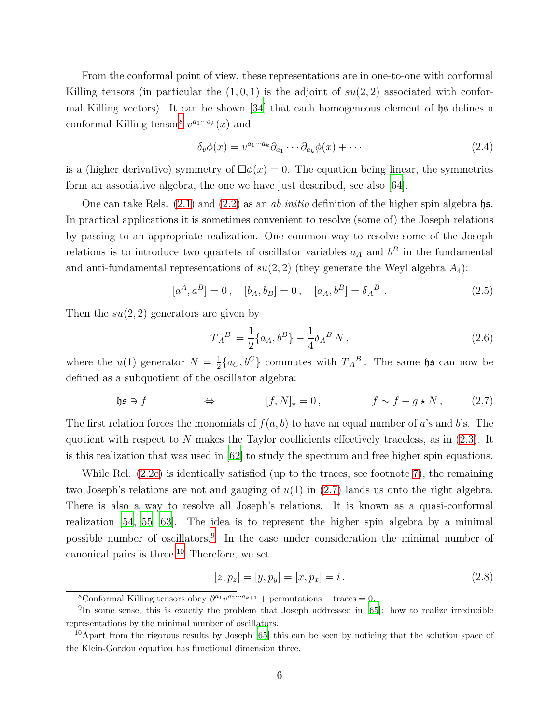From the conformal point of view, these representations are in one-to-one with conformal Killing tensors (in particular the  $(1, 0, 1)$  is the adjoint of  $su(2, 2)$  associated with confor-mal Killing vectors). It can be shown [\[34\]](#page-18-14) that each homogeneous element of  $\mathfrak{h}$  as defines a conformal Killing tensor<sup>[8](#page-6-0)</sup>  $v^{a_1 \cdots a_k}(x)$  and

$$
\delta_v \phi(x) = v^{a_1 \cdots a_k} \partial_{a_1} \cdots \partial_{a_k} \phi(x) + \cdots \tag{2.4}
$$

is a (higher derivative) symmetry of  $\Box \phi(x) = 0$ . The equation being linear, the symmetries form an associative algebra, the one we have just described, see also [\[64\]](#page-20-5).

One can take Rels.  $(2.1)$  and  $(2.2)$  as an ab initio definition of the higher spin algebra hs. In practical applications it is sometimes convenient to resolve (some of) the Joseph relations by passing to an appropriate realization. One common way to resolve some of the Joseph relations is to introduce two quartets of oscillator variables  $a<sub>A</sub>$  and  $b<sup>B</sup>$  in the fundamental and anti-fundamental representations of  $su(2, 2)$  (they generate the Weyl algebra  $A_4$ ):

$$
[a^A, a^B] = 0, \quad [b_A, b_B] = 0, \quad [a_A, b^B] = \delta_A^B. \tag{2.5}
$$

Then the  $su(2, 2)$  generators are given by

<span id="page-6-4"></span><span id="page-6-1"></span>
$$
T_A{}^B = \frac{1}{2} \{a_A, b^B\} - \frac{1}{4} \delta_A{}^B N \,, \tag{2.6}
$$

where the  $u(1)$  generator  $N=\frac{1}{2}$  $\frac{1}{2} \{a_C, b^C\}$  commutes with  $T_A{}^B$ . The same hs can now be defined as a subquotient of the oscillator algebra:

$$
\mathfrak{hs}\ni f \qquad \Leftrightarrow \qquad [f,N]_\star=0\,, \qquad f\sim f+g\star N\,, \qquad (2.7)
$$

The first relation forces the monomials of  $f(a, b)$  to have an equal number of a's and b's. The quotient with respect to N makes the Taylor coefficients effectively traceless, as in  $(2.3)$ . It is this realization that was used in [\[62\]](#page-20-3) to study the spectrum and free higher spin equations.

While Rel. [\(2.2c\)](#page-5-6) is identically satisfied (up to the traces, see footnote [7\)](#page-5-2), the remaining two Joseph's relations are not and gauging of  $u(1)$  in [\(2.7\)](#page-6-1) lands us onto the right algebra. There is also a way to resolve all Joseph's relations. It is known as a quasi-conformal realization [\[54](#page-19-14), [55,](#page-19-12) [63\]](#page-20-4). The idea is to represent the higher spin algebra by a minimal possible number of oscillators.[9](#page-6-2) In the case under consideration the minimal number of canonical pairs is three.[10](#page-6-3) Therefore, we set

$$
[z, p_z] = [y, p_y] = [x, p_x] = i.
$$
\n(2.8)

<span id="page-6-0"></span><sup>&</sup>lt;sup>8</sup>Conformal Killing tensors obey  $\partial^{a_1} v^{a_2 \cdots a_{k+1}}$  + permutations – traces = 0.

<span id="page-6-2"></span><sup>&</sup>lt;sup>9</sup>In some sense, this is exactly the problem that Joseph addressed in [\[65\]](#page-20-6): how to realize irreducible representations by the minimal number of oscillators.

<span id="page-6-3"></span><sup>&</sup>lt;sup>10</sup>Apart from the rigorous results by Joseph [\[65\]](#page-20-6) this can be seen by noticing that the solution space of the Klein-Gordon equation has functional dimension three.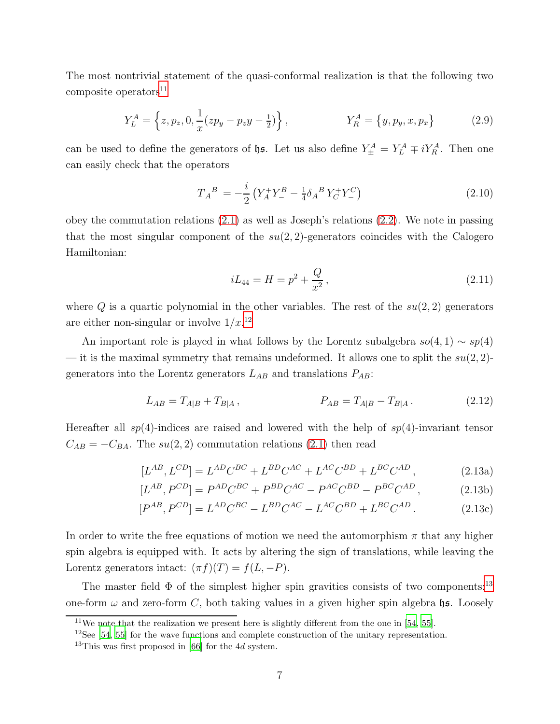The most nontrivial statement of the quasi-conformal realization is that the following two  $composite$  operators<sup>[11](#page-7-0)</sup>

$$
Y_L^A = \left\{ z, p_z, 0, \frac{1}{x} (zp_y - p_z y - \frac{1}{2}) \right\}, \qquad Y_R^A = \left\{ y, p_y, x, p_x \right\} \tag{2.9}
$$

can be used to define the generators of  $\n$ . Let us also define  $Y^A_{\pm} = Y^A_L \mp iY^A_R$ . Then one can easily check that the operators

$$
T_A{}^B = -\frac{i}{2} \left( Y_A^+ Y_-^B - \frac{1}{4} \delta_A{}^B Y_C^+ Y_-^C \right) \tag{2.10}
$$

obey the commutation relations [\(2.1\)](#page-5-3) as well as Joseph's relations [\(2.2\)](#page-5-4). We note in passing that the most singular component of the  $su(2, 2)$ -generators coincides with the Calogero Hamiltonian:

<span id="page-7-8"></span><span id="page-7-7"></span><span id="page-7-5"></span><span id="page-7-4"></span><span id="page-7-3"></span>
$$
iL_{44} = H = p^2 + \frac{Q}{x^2},\tag{2.11}
$$

where Q is a quartic polynomial in the other variables. The rest of the  $su(2, 2)$  generators are either non-singular or involve  $1/x^{12}$  $1/x^{12}$  $1/x^{12}$ 

An important role is played in what follows by the Lorentz subalgebra  $so(4, 1) \sim sp(4)$ — it is the maximal symmetry that remains undeformed. It allows one to split the  $su(2, 2)$ generators into the Lorentz generators  $L_{AB}$  and translations  $P_{AB}$ :

$$
L_{AB} = T_{A|B} + T_{B|A}, \qquad P_{AB} = T_{A|B} - T_{B|A}.
$$
 (2.12)

Hereafter all  $sp(4)$ -indices are raised and lowered with the help of  $sp(4)$ -invariant tensor  $C_{AB} = -C_{BA}$ . The su(2,2) commutation relations [\(2.1\)](#page-5-3) then read

$$
[L^{AB}, L^{CD}] = L^{AD}C^{BC} + L^{BD}C^{AC} + L^{AC}C^{BD} + L^{BC}C^{AD}, \qquad (2.13a)
$$

<span id="page-7-6"></span>
$$
[L^{AB}, P^{CD}] = P^{AD}C^{BC} + P^{BD}C^{AC} - P^{AC}C^{BD} - P^{BC}C^{AD}, \qquad (2.13b)
$$

$$
[P^{AB}, P^{CD}] = L^{AD}C^{BC} - L^{BD}C^{AC} - L^{AC}C^{BD} + L^{BC}C^{AD}.
$$
 (2.13c)

In order to write the free equations of motion we need the automorphism  $\pi$  that any higher spin algebra is equipped with. It acts by altering the sign of translations, while leaving the Lorentz generators intact:  $(\pi f)(T) = f(L, -P)$ .

The master field  $\Phi$  of the simplest higher spin gravities consists of two components:<sup>[13](#page-7-2)</sup> one-form  $\omega$  and zero-form C, both taking values in a given higher spin algebra hs. Loosely

 $11$ We note that the realization we present here is slightly different from the one in [\[54](#page-19-14), [55](#page-19-12)].

<span id="page-7-0"></span><sup>&</sup>lt;sup>12</sup>See [\[54](#page-19-14), [55\]](#page-19-12) for the wave functions and complete construction of the unitary representation.

<span id="page-7-2"></span><span id="page-7-1"></span><sup>&</sup>lt;sup>13</sup>This was first proposed in [\[66](#page-20-7)] for the 4*d* system.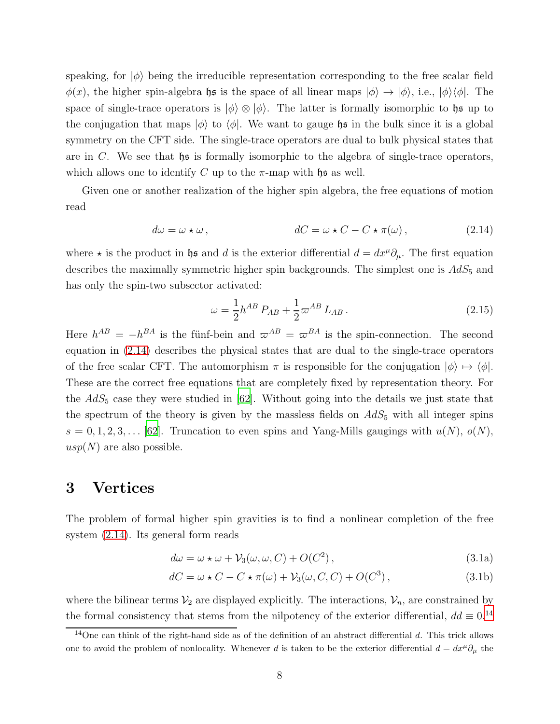speaking, for  $|\phi\rangle$  being the irreducible representation corresponding to the free scalar field  $\phi(x)$ , the higher spin-algebra hs is the space of all linear maps  $|\phi\rangle \rightarrow |\phi\rangle$ , i.e.,  $|\phi\rangle\langle\phi|$ . The space of single-trace operators is  $|\phi\rangle \otimes |\phi\rangle$ . The latter is formally isomorphic to het up to the conjugation that maps  $|\phi\rangle$  to  $\langle\phi|$ . We want to gauge hs in the bulk since it is a global symmetry on the CFT side. The single-trace operators are dual to bulk physical states that are in C. We see that  $\natural$  is formally isomorphic to the algebra of single-trace operators, which allows one to identify C up to the  $\pi$ -map with hs as well.

Given one or another realization of the higher spin algebra, the free equations of motion read

$$
d\omega = \omega \star \omega , \qquad \qquad dC = \omega \star C - C \star \pi(\omega) , \qquad (2.14)
$$

where  $\star$  is the product in hs and d is the exterior differential  $d = dx^{\mu} \partial_{\mu}$ . The first equation describes the maximally symmetric higher spin backgrounds. The simplest one is  $AdS_5$  and has only the spin-two subsector activated:

<span id="page-8-1"></span>
$$
\omega = \frac{1}{2} h^{AB} P_{AB} + \frac{1}{2} \omega^{AB} L_{AB} . \qquad (2.15)
$$

Here  $h^{AB} = -h^{BA}$  is the fünf-bein and  $\varpi^{AB} = \varpi^{BA}$  is the spin-connection. The second equation in [\(2.14\)](#page-8-1) describes the physical states that are dual to the single-trace operators of the free scalar CFT. The automorphism  $\pi$  is responsible for the conjugation  $|\phi\rangle \mapsto \langle \phi|$ . These are the correct free equations that are completely fixed by representation theory. For the  $AdS_5$  case they were studied in [\[62\]](#page-20-3). Without going into the details we just state that the spectrum of the theory is given by the massless fields on  $AdS_5$  with all integer spins  $s = 0, 1, 2, 3, \ldots$  [\[62\]](#page-20-3). Truncation to even spins and Yang-Mills gaugings with  $u(N)$ ,  $o(N)$ ,  $usp(N)$  are also possible.

### <span id="page-8-0"></span>3 Vertices

The problem of formal higher spin gravities is to find a nonlinear completion of the free system [\(2.14\)](#page-8-1). Its general form reads

<span id="page-8-4"></span><span id="page-8-3"></span>
$$
d\omega = \omega \star \omega + \mathcal{V}_3(\omega, \omega, C) + O(C^2), \qquad (3.1a)
$$

$$
dC = \omega \star C - C \star \pi(\omega) + \mathcal{V}_3(\omega, C, C) + O(C^3), \qquad (3.1b)
$$

where the bilinear terms  $\mathcal{V}_2$  are displayed explicitly. The interactions,  $\mathcal{V}_n$ , are constrained by the formal consistency that stems from the nilpotency of the exterior differential,  $dd \equiv 0.14$  $dd \equiv 0.14$ 

<span id="page-8-2"></span> $14$ One can think of the right-hand side as of the definition of an abstract differential d. This trick allows one to avoid the problem of nonlocality. Whenever d is taken to be the exterior differential  $d = dx^{\mu} \partial_{\mu}$  the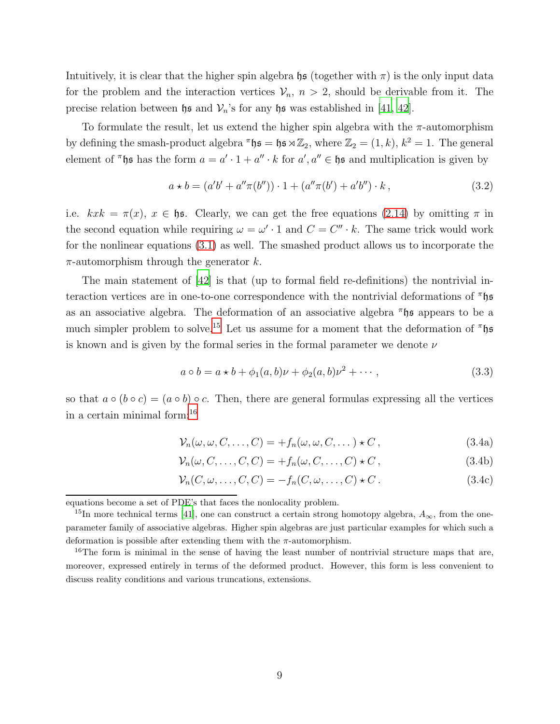Intuitively, it is clear that the higher spin algebra  $\mathfrak{hs}$  (together with  $\pi$ ) is the only input data for the problem and the interaction vertices  $\mathcal{V}_n$ ,  $n > 2$ , should be derivable from it. The precise relation between  $\mathfrak h$ s and  $\mathcal V_n$ 's for any  $\mathfrak h$ s was established in [\[41,](#page-19-15) [42\]](#page-19-2).

To formulate the result, let us extend the higher spin algebra with the  $\pi$ -automorphism by defining the smash-product algebra  $\pi$ **h** $\mathfrak{s} = \mathfrak{h} \mathfrak{s} \rtimes \mathbb{Z}_2$ , where  $\mathbb{Z}_2 = (1, k)$ ,  $k^2 = 1$ . The general element of  $\pi$ hs has the form  $a = a' \cdot 1 + a'' \cdot k$  for  $a', a'' \in \mathfrak{he}$  and multiplication is given by

$$
a * b = (a'b' + a''\pi(b'')) \cdot 1 + (a''\pi(b') + a'b'') \cdot k ,
$$
\n(3.2)

i.e.  $kxk = \pi(x)$ ,  $x \in \mathfrak{he}$ . Clearly, we can get the free equations [\(2.14\)](#page-8-1) by omitting  $\pi$  in the second equation while requiring  $\omega = \omega' \cdot 1$  and  $C = C'' \cdot k$ . The same trick would work for the nonlinear equations [\(3.1\)](#page-8-3) as well. The smashed product allows us to incorporate the  $\pi$ -automorphism through the generator k.

The main statement of [\[42](#page-19-2)] is that (up to formal field re-definitions) the nontrivial interaction vertices are in one-to-one correspondence with the nontrivial deformations of  $\pi$ hs as an associative algebra. The deformation of an associative algebra  $\pi$ **hs** appears to be a much simpler problem to solve.<sup>[15](#page-9-0)</sup> Let us assume for a moment that the deformation of  $\pi$ hs is known and is given by the formal series in the formal parameter we denote  $\nu$ 

<span id="page-9-2"></span>
$$
a \circ b = a \star b + \phi_1(a, b)\nu + \phi_2(a, b)\nu^2 + \cdots,
$$
\n(3.3)

so that  $a \circ (b \circ c) = (a \circ b) \circ c$ . Then, there are general formulas expressing all the vertices in a certain minimal form:[16](#page-9-1)

$$
\mathcal{V}_n(\omega,\omega,C,\ldots,C) = +f_n(\omega,\omega,C,\ldots) \star C, \qquad (3.4a)
$$

$$
\mathcal{V}_n(\omega, C, \dots, C, C) = +f_n(\omega, C, \dots, C) \star C, \qquad (3.4b)
$$

$$
\mathcal{V}_n(C,\omega,\ldots,C,C) = -f_n(C,\omega,\ldots,C) \star C. \tag{3.4c}
$$

equations become a set of PDE's that faces the nonlocality problem.

<span id="page-9-0"></span><sup>&</sup>lt;sup>15</sup>In more technical terms [\[41\]](#page-19-15), one can construct a certain strong homotopy algebra,  $A_{\infty}$ , from the oneparameter family of associative algebras. Higher spin algebras are just particular examples for which such a deformation is possible after extending them with the  $\pi$ -automorphism.

<span id="page-9-1"></span><sup>&</sup>lt;sup>16</sup>The form is minimal in the sense of having the least number of nontrivial structure maps that are, moreover, expressed entirely in terms of the deformed product. However, this form is less convenient to discuss reality conditions and various truncations, extensions.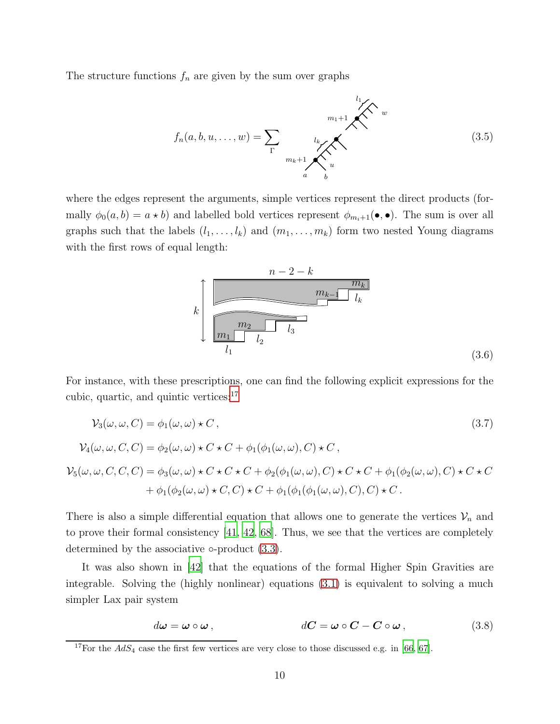The structure functions  $f_n$  are given by the sum over graphs

$$
f_n(a, b, u, \dots, w) = \sum_{\Gamma} \underbrace{u_k}_{m_k + 1} \underbrace{\bigotimes_{u_k}^{l_1} w}_{u}
$$
\n(3.5)

where the edges represent the arguments, simple vertices represent the direct products (formally  $\phi_0(a, b) = a * b$ ) and labelled bold vertices represent  $\phi_{m_i+1}(\bullet, \bullet)$ . The sum is over all graphs such that the labels  $(l_1, \ldots, l_k)$  and  $(m_1, \ldots, m_k)$  form two nested Young diagrams with the first rows of equal length:

<span id="page-10-1"></span>

For instance, with these prescriptions, one can find the following explicit expressions for the cubic, quartic, and quintic vertices: $17$ 

$$
\mathcal{V}_3(\omega,\omega,C) = \phi_1(\omega,\omega) \star C,
$$
\n
$$
\mathcal{V}_4(\omega,\omega,C,C) = \phi_2(\omega,\omega) \star C \star C + \phi_1(\phi_1(\omega,\omega),C) \star C,
$$
\n
$$
\mathcal{V}_5(\omega,\omega,C,C,C) = \phi_3(\omega,\omega) \star C \star C \star C + \phi_2(\phi_1(\omega,\omega),C) \star C \star C + \phi_1(\phi_2(\omega,\omega),C) \star C \star C
$$
\n
$$
+ \phi_1(\phi_2(\omega,\omega) \star C, C) \star C + \phi_1(\phi_1(\phi_1(\omega,\omega),C), C) \star C.
$$
\n
$$
(3.7)
$$

There is also a simple differential equation that allows one to generate the vertices  $\mathcal{V}_n$  and to prove their formal consistency [\[41](#page-19-15), [42,](#page-19-2) [68\]](#page-20-8). Thus, we see that the vertices are completely determined by the associative  $\circ$ -product  $(3.3)$ .

It was also shown in [\[42\]](#page-19-2) that the equations of the formal Higher Spin Gravities are integrable. Solving the (highly nonlinear) equations [\(3.1\)](#page-8-3) is equivalent to solving a much simpler Lax pair system

$$
d\boldsymbol{\omega} = \boldsymbol{\omega} \circ \boldsymbol{\omega} , \qquad d\boldsymbol{C} = \boldsymbol{\omega} \circ \boldsymbol{C} - \boldsymbol{C} \circ \boldsymbol{\omega} , \qquad (3.8)
$$

<span id="page-10-0"></span><sup>&</sup>lt;sup>17</sup>For the  $AdS_4$  case the first few vertices are very close to those discussed e.g. in [\[66](#page-20-7), [67](#page-20-9)].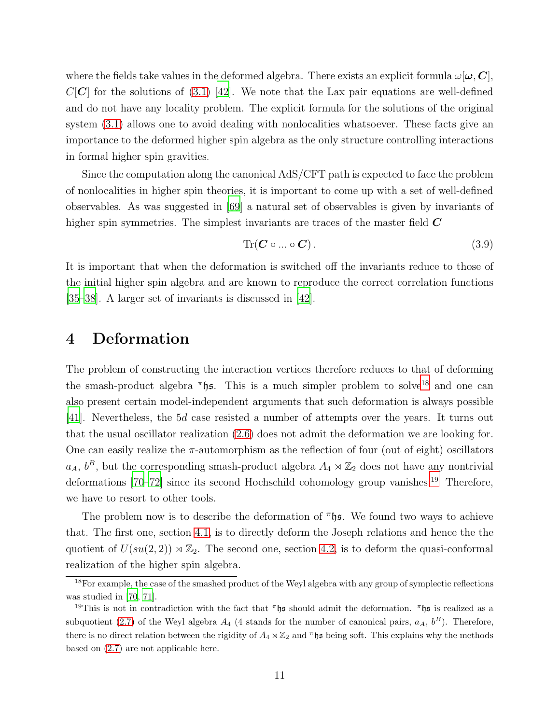where the fields take values in the deformed algebra. There exists an explicit formula  $\omega|\omega, C|$ ,  $C[C]$  for the solutions of [\(3.1\)](#page-8-3) [\[42](#page-19-2)]. We note that the Lax pair equations are well-defined and do not have any locality problem. The explicit formula for the solutions of the original system [\(3.1\)](#page-8-3) allows one to avoid dealing with nonlocalities whatsoever. These facts give an importance to the deformed higher spin algebra as the only structure controlling interactions in formal higher spin gravities.

Since the computation along the canonical AdS/CFT path is expected to face the problem of nonlocalities in higher spin theories, it is important to come up with a set of well-defined observables. As was suggested in [\[69\]](#page-20-10) a natural set of observables is given by invariants of higher spin symmetries. The simplest invariants are traces of the master field  $\boldsymbol{C}$ 

$$
\text{Tr}(\mathbf{C} \circ \dots \circ \mathbf{C})\,. \tag{3.9}
$$

It is important that when the deformation is switched off the invariants reduce to those of the initial higher spin algebra and are known to reproduce the correct correlation functions [\[35](#page-18-15)[–38\]](#page-19-3). A larger set of invariants is discussed in [\[42\]](#page-19-2).

### <span id="page-11-0"></span>4 Deformation

The problem of constructing the interaction vertices therefore reduces to that of deforming the smash-product algebra  $\pi$ hs. This is a much simpler problem to solve<sup>[18](#page-11-1)</sup> and one can also present certain model-independent arguments that such deformation is always possible [\[41\]](#page-19-15). Nevertheless, the 5d case resisted a number of attempts over the years. It turns out that the usual oscillator realization [\(2.6\)](#page-6-4) does not admit the deformation we are looking for. One can easily realize the  $\pi$ -automorphism as the reflection of four (out of eight) oscillators  $a_A$ ,  $b^B$ , but the corresponding smash-product algebra  $A_4 \rtimes \mathbb{Z}_2$  does not have any nontrivial deformations [\[70](#page-20-11)[–72](#page-20-12)] since its second Hochschild cohomology group vanishes.<sup>[19](#page-11-2)</sup> Therefore, we have to resort to other tools.

The problem now is to describe the deformation of  $\pi$  is. We found two ways to achieve that. The first one, section [4.1,](#page-12-0) is to directly deform the Joseph relations and hence the the quotient of  $U(su(2, 2)) \rtimes \mathbb{Z}_2$ . The second one, section [4.2,](#page-14-0) is to deform the quasi-conformal realization of the higher spin algebra.

<span id="page-11-1"></span><sup>&</sup>lt;sup>18</sup>For example, the case of the smashed product of the Weyl algebra with any group of symplectic reflections was studied in [\[70](#page-20-11), [71\]](#page-20-13).

<span id="page-11-2"></span><sup>&</sup>lt;sup>19</sup>This is not in contradiction with the fact that  $\pi$ <sup>hight</sup> should admit the deformation.  $\pi$ <sup>hight</sup> is realized as a subquotient [\(2.7\)](#page-6-1) of the Weyl algebra  $A_4$  (4 stands for the number of canonical pairs,  $a_A$ ,  $b^B$ ). Therefore, there is no direct relation between the rigidity of  $A_4 \rtimes \mathbb{Z}_2$  and  $\pi$  is being soft. This explains why the methods based on [\(2.7\)](#page-6-1) are not applicable here.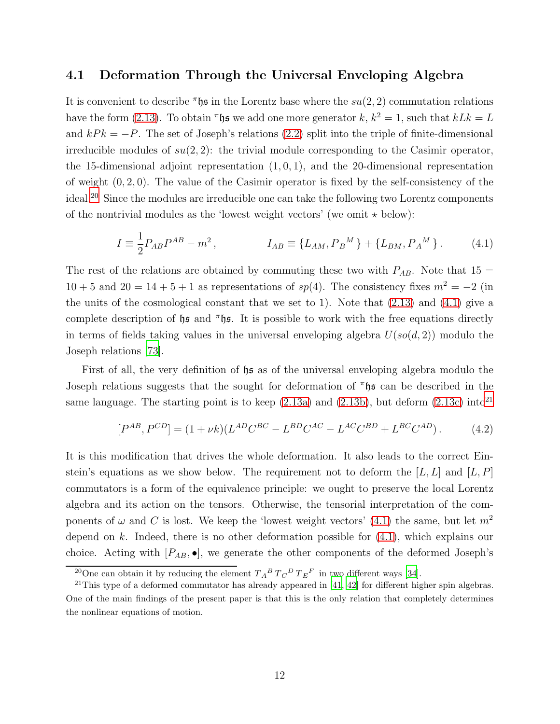#### <span id="page-12-0"></span>4.1 Deformation Through the Universal Enveloping Algebra

It is convenient to describe  $\pi$ hs in the Lorentz base where the  $su(2, 2)$  commutation relations have the form [\(2.13\)](#page-7-3). To obtain  $\pi$ hs we add one more generator k,  $k^2 = 1$ , such that  $kLk = L$ and  $kP_k = -P$ . The set of Joseph's relations [\(2.2\)](#page-5-4) split into the triple of finite-dimensional irreducible modules of  $su(2, 2)$ : the trivial module corresponding to the Casimir operator, the 15-dimensional adjoint representation  $(1, 0, 1)$ , and the 20-dimensional representation of weight  $(0, 2, 0)$ . The value of the Casimir operator is fixed by the self-consistency of the ideal.[20](#page-12-1) Since the modules are irreducible one can take the following two Lorentz components of the nontrivial modules as the 'lowest weight vectors' (we omit  $\star$  below):

<span id="page-12-2"></span>
$$
I = \frac{1}{2} P_{AB} P^{AB} - m^2, \qquad I_{AB} \equiv \{ L_{AM}, P_B{}^M \} + \{ L_{BM}, P_A{}^M \}.
$$
 (4.1)

The rest of the relations are obtained by commuting these two with  $P_{AB}$ . Note that 15 =  $10 + 5$  and  $20 = 14 + 5 + 1$  as representations of  $sp(4)$ . The consistency fixes  $m<sup>2</sup> = -2$  (in the units of the cosmological constant that we set to 1). Note that  $(2.13)$  and  $(4.1)$  give a complete description of hs and  $\pi$ hs. It is possible to work with the free equations directly in terms of fields taking values in the universal enveloping algebra  $U(s\mathfrak{o}(d, 2))$  modulo the Joseph relations [\[73](#page-20-14)].

First of all, the very definition of  $\mathfrak{h}$  as of the universal enveloping algebra modulo the Joseph relations suggests that the sought for deformation of  $\pi$  h s can be described in the same language. The starting point is to keep  $(2.13a)$  and  $(2.13b)$ , but deform  $(2.13c)$  into<sup>[21](#page-12-3)</sup>

<span id="page-12-4"></span>
$$
[P^{AB}, P^{CD}] = (1 + \nu k)(L^{AD}C^{BC} - L^{BD}C^{AC} - L^{AC}C^{BD} + L^{BC}C^{AD}).
$$
 (4.2)

It is this modification that drives the whole deformation. It also leads to the correct Einstein's equations as we show below. The requirement not to deform the  $[L, L]$  and  $[L, P]$ commutators is a form of the equivalence principle: we ought to preserve the local Lorentz algebra and its action on the tensors. Otherwise, the tensorial interpretation of the components of  $\omega$  and C is lost. We keep the 'lowest weight vectors' [\(4.1\)](#page-12-2) the same, but let  $m^2$ depend on k. Indeed, there is no other deformation possible for  $(4.1)$ , which explains our choice. Acting with  $[P_{AB}, \bullet]$ , we generate the other components of the deformed Joseph's

<span id="page-12-1"></span><sup>&</sup>lt;sup>20</sup>One can obtain it by reducing the element  $T_A{}^B T_C{}^D T_E{}^F$  in two different ways [\[34\]](#page-18-14).

<span id="page-12-3"></span> $21$ This type of a deformed commutator has already appeared in [\[41,](#page-19-15) [42\]](#page-19-2) for different higher spin algebras. One of the main findings of the present paper is that this is the only relation that completely determines the nonlinear equations of motion.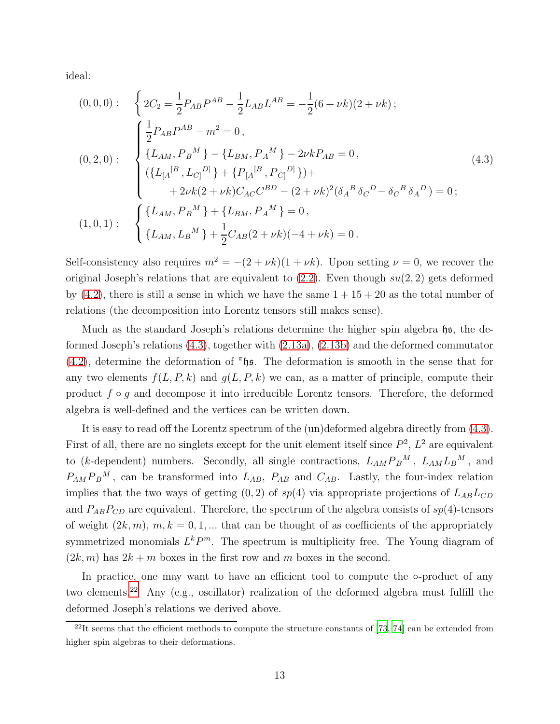ideal:

<span id="page-13-0"></span>
$$
(0,0,0): \begin{cases} 2C_2 = \frac{1}{2} P_{AB} P^{AB} - \frac{1}{2} L_{AB} L^{AB} = -\frac{1}{2} (6 + \nu k)(2 + \nu k); \\ \frac{1}{2} P_{AB} P^{AB} - m^2 = 0, \\ \{L_{AM}, P_B^M\} - \{L_{BM}, P_A^M\} - 2\nu k P_{AB} = 0, \\ (\{L_A^{[B}, L_{C]}^{D]}\} + \{P_{[A}^{[B}, P_{C]}^{D]}\}) + \\ + 2\nu k (2 + \nu k) C_{AC} C^{BD} - (2 + \nu k)^2 (\delta_A^B \delta_C^D - \delta_C^B \delta_A^D) = 0; \\ (1,0,1): \begin{cases} \{L_{AM}, P_B^M\} + \{L_{BM}, P_A^M\} = 0, \\ \{L_{AM}, L_B^M\} + \frac{1}{2} C_{AB} (2 + \nu k)(-4 + \nu k) = 0. \end{cases} \end{cases}
$$
(4.3)

Self-consistency also requires  $m^2 = -(2 + \nu k)(1 + \nu k)$ . Upon setting  $\nu = 0$ , we recover the original Joseph's relations that are equivalent to  $(2.2)$ . Even though  $su(2, 2)$  gets deformed by  $(4.2)$ , there is still a sense in which we have the same  $1 + 15 + 20$  as the total number of relations (the decomposition into Lorentz tensors still makes sense).

Much as the standard Joseph's relations determine the higher spin algebra  $\mathfrak{hs}$ , the deformed Joseph's relations [\(4.3\)](#page-13-0), together with [\(2.13a\)](#page-7-4), [\(2.13b\)](#page-7-5) and the deformed commutator [\(4.2\)](#page-12-4), determine the deformation of  $\pi$ hs. The deformation is smooth in the sense that for any two elements  $f(L, P, k)$  and  $g(L, P, k)$  we can, as a matter of principle, compute their product  $f \circ q$  and decompose it into irreducible Lorentz tensors. Therefore, the deformed algebra is well-defined and the vertices can be written down.

It is easy to read off the Lorentz spectrum of the (un)deformed algebra directly from [\(4.3\)](#page-13-0). First of all, there are no singlets except for the unit element itself since  $P^2$ ,  $L^2$  are equivalent to (k-dependent) numbers. Secondly, all single contractions,  $L_{AM}P_B{}^M$ ,  $L_{AM}L_B{}^M$ , and  $P_{AM}P_B{}^M$ , can be transformed into  $L_{AB}$ ,  $P_{AB}$  and  $C_{AB}$ . Lastly, the four-index relation implies that the two ways of getting  $(0, 2)$  of sp(4) via appropriate projections of  $L_{AB}L_{CD}$ and  $P_{AB}P_{CD}$  are equivalent. Therefore, the spectrum of the algebra consists of  $sp(4)$ -tensors of weight  $(2k, m)$ ,  $m, k = 0, 1, ...$  that can be thought of as coefficients of the appropriately symmetrized monomials  $L^k P^m$ . The spectrum is multiplicity free. The Young diagram of  $(2k, m)$  has  $2k + m$  boxes in the first row and m boxes in the second.

In practice, one may want to have an efficient tool to compute the ∘-product of any two elements.[22](#page-13-1) Any (e.g., oscillator) realization of the deformed algebra must fulfill the deformed Joseph's relations we derived above.

<span id="page-13-1"></span> $^{22}$ It seems that the efficient methods to compute the structure constants of [\[73,](#page-20-14) [74\]](#page-20-15) can be extended from higher spin algebras to their deformations.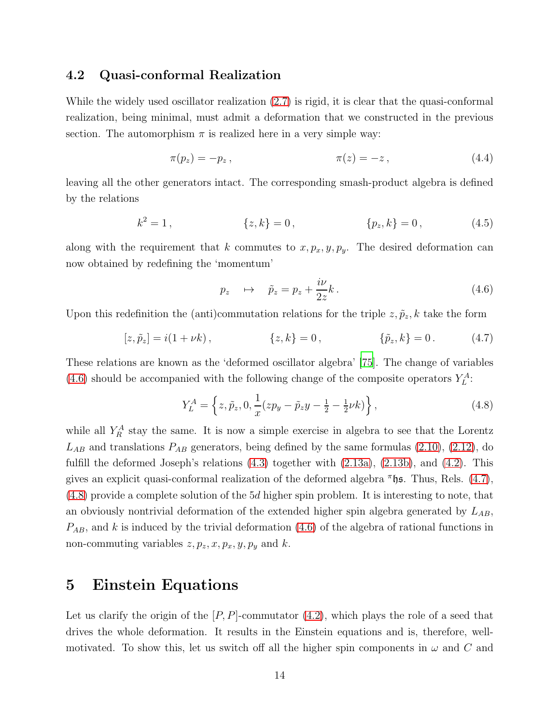#### <span id="page-14-0"></span>4.2 Quasi-conformal Realization

While the widely used oscillator realization [\(2.7\)](#page-6-1) is rigid, it is clear that the quasi-conformal realization, being minimal, must admit a deformation that we constructed in the previous section. The automorphism  $\pi$  is realized here in a very simple way:

$$
\pi(p_z) = -p_z, \qquad \pi(z) = -z, \qquad (4.4)
$$

leaving all the other generators intact. The corresponding smash-product algebra is defined by the relations

$$
k^2 = 1, \t\t \{z, k\} = 0, \t\t \{p_z, k\} = 0, \t\t (4.5)
$$

along with the requirement that k commutes to  $x, p_x, y, p_y$ . The desired deformation can now obtained by redefining the 'momentum'

<span id="page-14-4"></span><span id="page-14-3"></span><span id="page-14-2"></span>
$$
p_z \quad \mapsto \quad \tilde{p}_z = p_z + \frac{i\nu}{2z}k \,. \tag{4.6}
$$

Upon this redefinition the (anti)commutation relations for the triple  $z, \tilde{p}_z$ , k take the form

$$
[z, \tilde{p}_z] = i(1 + \nu k), \qquad \{z, k\} = 0, \qquad \{\tilde{p}_z, k\} = 0. \qquad (4.7)
$$

These relations are known as the 'deformed oscillator algebra' [\[75\]](#page-20-16). The change of variables [\(4.6\)](#page-14-2) should be accompanied with the following change of the composite operators  $Y_L^A$ :

$$
Y_L^A = \left\{ z, \tilde{p}_z, 0, \frac{1}{x} (zp_y - \tilde{p}_z y - \frac{1}{2} - \frac{1}{2} \nu k) \right\},\tag{4.8}
$$

while all  $Y_R^A$  stay the same. It is now a simple exercise in algebra to see that the Lorentz  $L_{AB}$  and translations  $P_{AB}$  generators, being defined by the same formulas [\(2.10\)](#page-7-7), [\(2.12\)](#page-7-8), do fulfill the deformed Joseph's relations  $(4.3)$  together with  $(2.13a)$ ,  $(2.13b)$ , and  $(4.2)$ . This gives an explicit quasi-conformal realization of the deformed algebra  $\pi$ hs. Thus, Rels. [\(4.7\)](#page-14-3), [\(4.8\)](#page-14-4) provide a complete solution of the 5d higher spin problem. It is interesting to note, that an obviously nontrivial deformation of the extended higher spin algebra generated by  $L_{AB}$ ,  $P_{AB}$ , and k is induced by the trivial deformation [\(4.6\)](#page-14-2) of the algebra of rational functions in non-commuting variables  $z, p_z, x, p_x, y, p_y$  and k.

### <span id="page-14-1"></span>5 Einstein Equations

Let us clarify the origin of the  $[P, P]$ -commutator  $(4.2)$ , which plays the role of a seed that drives the whole deformation. It results in the Einstein equations and is, therefore, wellmotivated. To show this, let us switch off all the higher spin components in  $\omega$  and C and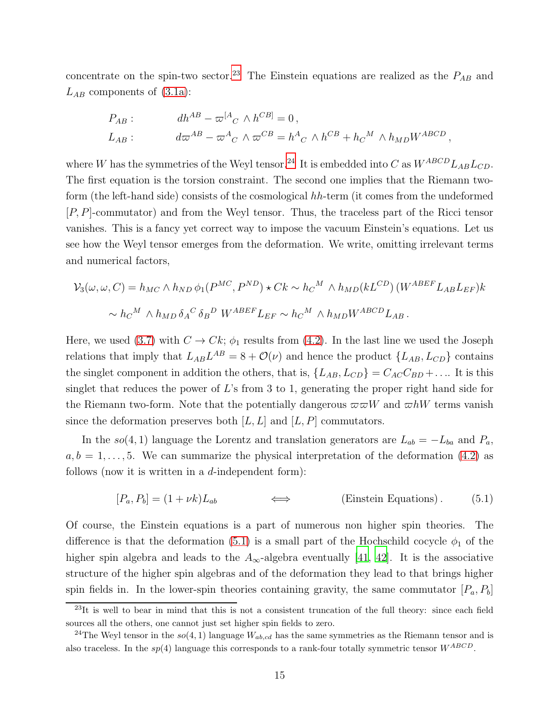concentrate on the spin-two sector.<sup>[23](#page-15-0)</sup> The Einstein equations are realized as the  $P_{AB}$  and  $L_{AB}$  components of [\(3.1a\)](#page-8-4):

$$
P_{AB} : \t dh^{AB} - \varpi^{[A}{}_{C} \wedge h^{CB]} = 0,
$$
  

$$
L_{AB} : \t d\varpi^{AB} - \varpi^{A}{}_{C} \wedge \varpi^{CB} = h^{A}{}_{C} \wedge h^{CB} + h_{C}{}^{M} \wedge h_{MD} W^{ABCD},
$$

where W has the symmetries of the Weyl tensor.<sup>[24](#page-15-1)</sup> It is embedded into C as  $W^{ABCD}L_{AB}L_{CD}$ . The first equation is the torsion constraint. The second one implies that the Riemann twoform (the left-hand side) consists of the cosmological hh-term (it comes from the undeformed [P, P]-commutator) and from the Weyl tensor. Thus, the traceless part of the Ricci tensor vanishes. This is a fancy yet correct way to impose the vacuum Einstein's equations. Let us see how the Weyl tensor emerges from the deformation. We write, omitting irrelevant terms and numerical factors,

$$
\mathcal{V}_3(\omega, \omega, C) = h_{MC} \wedge h_{ND} \phi_1(P^{MC}, P^{ND}) \star Ck \sim h_C{}^M \wedge h_{MD}(kL^{CD}) (W^{ABEF} L_{AB} L_{EF})k
$$
  

$$
\sim h_C{}^M \wedge h_{MD} \delta_A{}^C \delta_B{}^D W^{ABEF} L_{EF} \sim h_C{}^M \wedge h_{MD} W^{ABCD} L_{AB}.
$$

Here, we used [\(3.7\)](#page-10-1) with  $C \to Ck$ ;  $\phi_1$  results from [\(4.2\)](#page-12-4). In the last line we used the Joseph relations that imply that  $L_{AB}L^{AB} = 8 + \mathcal{O}(\nu)$  and hence the product  $\{L_{AB}, L_{CD}\}$  contains the singlet component in addition the others, that is,  $\{L_{AB}, L_{CD}\} = C_{AC}C_{BD} + \dots$  It is this singlet that reduces the power of  $L$ 's from 3 to 1, generating the proper right hand side for the Riemann two-form. Note that the potentially dangerous  $\overline{\omega} \overline{\omega} W$  and  $\overline{\omega} hW$  terms vanish since the deformation preserves both  $[L, L]$  and  $[L, P]$  commutators.

In the so(4, 1) language the Lorentz and translation generators are  $L_{ab} = -L_{ba}$  and  $P_a$ ,  $a, b = 1, \ldots, 5$ . We can summarize the physical interpretation of the deformation [\(4.2\)](#page-12-4) as follows (now it is written in a  $d$ -independent form):

<span id="page-15-2"></span>
$$
[P_a, P_b] = (1 + \nu k)L_{ab} \qquad \Longleftrightarrow \qquad \text{(Einstein Equations)}.
$$
 (5.1)

Of course, the Einstein equations is a part of numerous non higher spin theories. The difference is that the deformation [\(5.1\)](#page-15-2) is a small part of the Hochschild cocycle  $\phi_1$  of the higher spin algebra and leads to the  $A_{\infty}$ -algebra eventually [\[41,](#page-19-15) [42\]](#page-19-2). It is the associative structure of the higher spin algebras and of the deformation they lead to that brings higher spin fields in. In the lower-spin theories containing gravity, the same commutator  $[P_a, P_b]$ 

<span id="page-15-0"></span> $^{23}$ It is well to bear in mind that this is not a consistent truncation of the full theory: since each field sources all the others, one cannot just set higher spin fields to zero.

<span id="page-15-1"></span><sup>&</sup>lt;sup>24</sup>The Weyl tensor in the  $so(4, 1)$  language  $W_{ab, cd}$  has the same symmetries as the Riemann tensor and is also traceless. In the  $sp(4)$  language this corresponds to a rank-four totally symmetric tensor  $W^{ABCD}$ .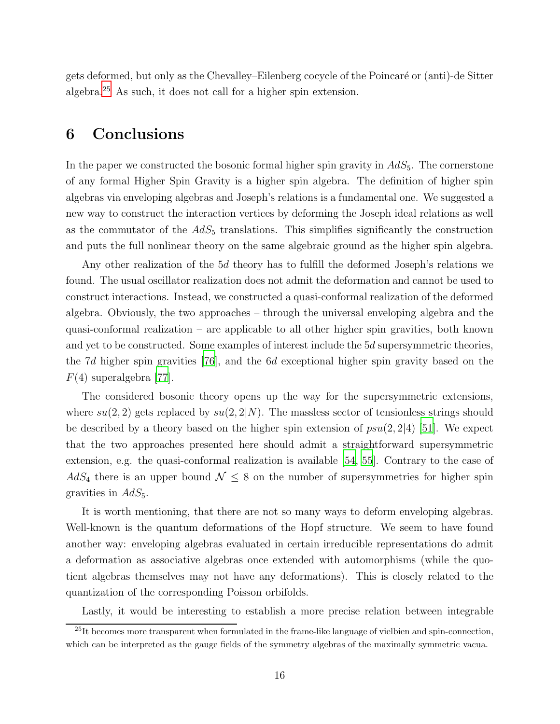gets deformed, but only as the Chevalley–Eilenberg cocycle of the Poincaré or (anti)-de Sitter algebra.[25](#page-16-1) As such, it does not call for a higher spin extension.

# <span id="page-16-0"></span>6 Conclusions

In the paper we constructed the bosonic formal higher spin gravity in  $AdS_5$ . The cornerstone of any formal Higher Spin Gravity is a higher spin algebra. The definition of higher spin algebras via enveloping algebras and Joseph's relations is a fundamental one. We suggested a new way to construct the interaction vertices by deforming the Joseph ideal relations as well as the commutator of the  $AdS_5$  translations. This simplifies significantly the construction and puts the full nonlinear theory on the same algebraic ground as the higher spin algebra.

Any other realization of the 5d theory has to fulfill the deformed Joseph's relations we found. The usual oscillator realization does not admit the deformation and cannot be used to construct interactions. Instead, we constructed a quasi-conformal realization of the deformed algebra. Obviously, the two approaches – through the universal enveloping algebra and the quasi-conformal realization – are applicable to all other higher spin gravities, both known and yet to be constructed. Some examples of interest include the 5d supersymmetric theories, the 7d higher spin gravities [\[76\]](#page-20-17), and the 6d exceptional higher spin gravity based on the  $F(4)$  superalgebra [\[77\]](#page-20-18).

The considered bosonic theory opens up the way for the supersymmetric extensions, where  $su(2, 2)$  gets replaced by  $su(2, 2|N)$ . The massless sector of tensionless strings should be described by a theory based on the higher spin extension of  $psu(2, 2|4)$  [\[51](#page-19-5)]. We expect that the two approaches presented here should admit a straightforward supersymmetric extension, e.g. the quasi-conformal realization is available [\[54,](#page-19-14) [55\]](#page-19-12). Contrary to the case of  $AdS_4$  there is an upper bound  $\mathcal{N} \leq 8$  on the number of supersymmetries for higher spin gravities in  $AdS_5$ .

It is worth mentioning, that there are not so many ways to deform enveloping algebras. Well-known is the quantum deformations of the Hopf structure. We seem to have found another way: enveloping algebras evaluated in certain irreducible representations do admit a deformation as associative algebras once extended with automorphisms (while the quotient algebras themselves may not have any deformations). This is closely related to the quantization of the corresponding Poisson orbifolds.

Lastly, it would be interesting to establish a more precise relation between integrable

<span id="page-16-1"></span> $^{25}$ It becomes more transparent when formulated in the frame-like language of vielbien and spin-connection. which can be interpreted as the gauge fields of the symmetry algebras of the maximally symmetric vacua.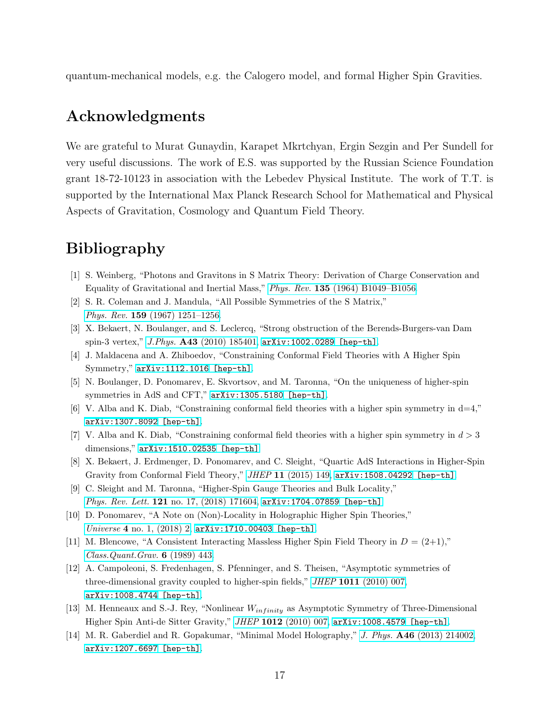quantum-mechanical models, e.g. the Calogero model, and formal Higher Spin Gravities.

# Acknowledgments

We are grateful to Murat Gunaydin, Karapet Mkrtchyan, Ergin Sezgin and Per Sundell for very useful discussions. The work of E.S. was supported by the Russian Science Foundation grant 18-72-10123 in association with the Lebedev Physical Institute. The work of T.T. is supported by the International Max Planck Research School for Mathematical and Physical Aspects of Gravitation, Cosmology and Quantum Field Theory.

# <span id="page-17-0"></span>Bibliography

- <span id="page-17-1"></span>[1] S. Weinberg, "Photons and Gravitons in S Matrix Theory: Derivation of Charge Conservation and Equality of Gravitational and Inertial Mass," Phys. Rev. 135 [\(1964\) B1049–B1056.](http://dx.doi.org/10.1103/PhysRev.135.B1049)
- [2] S. R. Coleman and J. Mandula, "All Possible Symmetries of the S Matrix," Phys. Rev. 159 [\(1967\) 1251–1256.](http://dx.doi.org/10.1103/PhysRev.159.1251)
- <span id="page-17-2"></span>[3] X. Bekaert, N. Boulanger, and S. Leclercq, "Strong obstruction of the Berends-Burgers-van Dam spin-3 vertex," J.Phys. A43 [\(2010\) 185401,](http://dx.doi.org/10.1088/1751-8113/43/18/185401) [arXiv:1002.0289 \[hep-th\]](http://arxiv.org/abs/1002.0289).
- <span id="page-17-8"></span>[4] J. Maldacena and A. Zhiboedov, "Constraining Conformal Field Theories with A Higher Spin Symmetry," [arXiv:1112.1016 \[hep-th\]](http://arxiv.org/abs/1112.1016).
- [5] N. Boulanger, D. Ponomarev, E. Skvortsov, and M. Taronna, "On the uniqueness of higher-spin symmetries in AdS and CFT," [arXiv:1305.5180 \[hep-th\]](http://arxiv.org/abs/1305.5180).
- $[6]$  V. Alba and K. Diab, "Constraining conformal field theories with a higher spin symmetry in d=4," [arXiv:1307.8092 \[hep-th\]](http://arxiv.org/abs/1307.8092).
- <span id="page-17-9"></span>[7] V. Alba and K. Diab, "Constraining conformal field theories with a higher spin symmetry in  $d > 3$ dimensions," [arXiv:1510.02535 \[hep-th\]](http://arxiv.org/abs/1510.02535).
- <span id="page-17-6"></span>[8] X. Bekaert, J. Erdmenger, D. Ponomarev, and C. Sleight, "Quartic AdS Interactions in Higher-Spin Gravity from Conformal Field Theory," JHEP 11 [\(2015\) 149,](http://dx.doi.org/10.1007/JHEP11(2015)149) [arXiv:1508.04292 \[hep-th\]](http://arxiv.org/abs/1508.04292).
- [9] C. Sleight and M. Taronna, "Higher-Spin Gauge Theories and Bulk Locality," Phys. Rev. Lett. 121 [no. 17, \(2018\) 171604,](http://dx.doi.org/10.1103/PhysRevLett.121.171604) arXiv: 1704.07859 [hep-th].
- <span id="page-17-7"></span>[10] D. Ponomarev, "A Note on (Non)-Locality in Holographic Higher Spin Theories," Universe 4 [no. 1, \(2018\) 2,](http://dx.doi.org/10.3390/universe4010002) [arXiv:1710.00403 \[hep-th\]](http://arxiv.org/abs/1710.00403).
- <span id="page-17-3"></span>[11] M. Blencowe, "A Consistent Interacting Massless Higher Spin Field Theory in  $D = (2+1)$ ," [Class.Quant.Grav.](http://dx.doi.org/10.1088/0264-9381/6/4/005) 6 (1989) 443.
- [12] A. Campoleoni, S. Fredenhagen, S. Pfenninger, and S. Theisen, "Asymptotic symmetries of three-dimensional gravity coupled to higher-spin fields," *JHEP* 1011 [\(2010\) 007,](http://dx.doi.org/10.1007/JHEP11(2010)007) [arXiv:1008.4744 \[hep-th\]](http://arxiv.org/abs/1008.4744).
- <span id="page-17-4"></span>[13] M. Henneaux and S.-J. Rey, "Nonlinear  $W_{infinity}$  as Asymptotic Symmetry of Three-Dimensional Higher Spin Anti-de Sitter Gravity," JHEP 1012 [\(2010\) 007,](http://dx.doi.org/10.1007/JHEP12(2010)007) [arXiv:1008.4579 \[hep-th\]](http://arxiv.org/abs/1008.4579).
- <span id="page-17-5"></span>[14] M. R. Gaberdiel and R. Gopakumar, "Minimal Model Holography," J. Phys. A46 [\(2013\) 214002,](http://dx.doi.org/10.1088/1751-8113/46/21/214002) [arXiv:1207.6697 \[hep-th\]](http://arxiv.org/abs/1207.6697).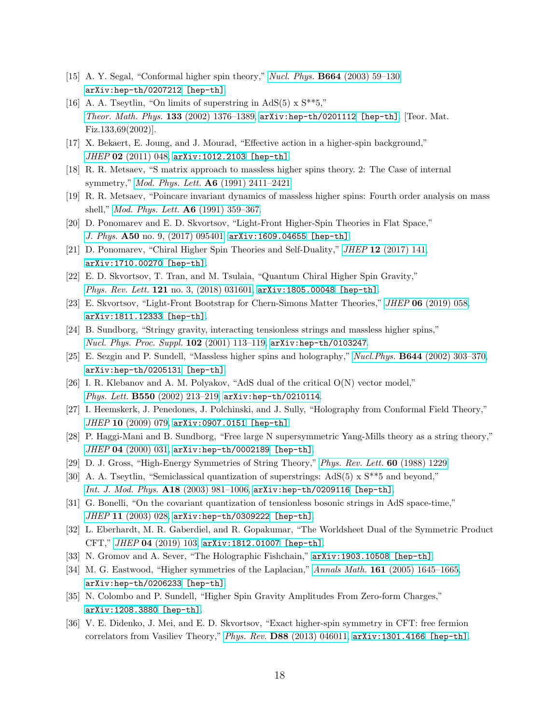- <span id="page-18-0"></span>[15] A. Y. Segal, "Conformal higher spin theory," Nucl. Phys. B664 [\(2003\) 59–130,](http://dx.doi.org/10.1016/S0550-3213(03)00368-7) [arXiv:hep-th/0207212 \[hep-th\]](http://arxiv.org/abs/hep-th/0207212).
- [16] A. A. Tseytlin, "On limits of superstring in AdS(5)  $\times$  S<sup>\*\*</sup>5," [Theor. Math. Phys.](http://dx.doi.org/10.1023/A:1020646014240) 133 (2002) 1376–1389, [arXiv:hep-th/0201112 \[hep-th\]](http://arxiv.org/abs/hep-th/0201112). [Teor. Mat. Fiz.133,69(2002)].
- <span id="page-18-1"></span>[17] X. Bekaert, E. Joung, and J. Mourad, "Effective action in a higher-spin background," JHEP 02 [\(2011\) 048,](http://dx.doi.org/10.1007/JHEP02(2011)048) [arXiv:1012.2103 \[hep-th\]](http://arxiv.org/abs/1012.2103).
- <span id="page-18-2"></span>[18] R. R. Metsaev, "S matrix approach to massless higher spins theory. 2: The Case of internal symmetry," Mod. Phys. Lett. A6 [\(1991\) 2411–2421.](http://dx.doi.org/10.1142/S0217732391002839)
- [19] R. R. Metsaev, "Poincare invariant dynamics of massless higher spins: Fourth order analysis on mass shell," [Mod. Phys. Lett.](http://dx.doi.org/10.1142/S0217732391000348) A6 (1991) 359–367.
- [20] D. Ponomarev and E. D. Skvortsov, "Light-Front Higher-Spin Theories in Flat Space," J. Phys.  $A50$  [no. 9, \(2017\) 095401,](http://dx.doi.org/10.1088/1751-8121/aa56e7)  $arXiv:1609.04655$  [hep-th].
- [21] D. Ponomarev, "Chiral Higher Spin Theories and Self-Duality," JHEP 12 [\(2017\) 141,](http://dx.doi.org/10.1007/JHEP12(2017)141) [arXiv:1710.00270 \[hep-th\]](http://arxiv.org/abs/1710.00270).
- <span id="page-18-3"></span>[22] E. D. Skvortsov, T. Tran, and M. Tsulaia, "Quantum Chiral Higher Spin Gravity," Phys. Rev. Lett. 121 [no. 3, \(2018\) 031601,](http://dx.doi.org/10.1103/PhysRevLett.121.031601) [arXiv:1805.00048 \[hep-th\]](http://arxiv.org/abs/1805.00048).
- <span id="page-18-4"></span>[23] E. Skvortsov, "Light-Front Bootstrap for Chern-Simons Matter Theories," JHEP 06 [\(2019\) 058,](http://dx.doi.org/10.1007/JHEP06(2019)058) [arXiv:1811.12333 \[hep-th\]](http://arxiv.org/abs/1811.12333).
- <span id="page-18-5"></span>[24] B. Sundborg, "Stringy gravity, interacting tensionless strings and massless higher spins," [Nucl. Phys. Proc. Suppl.](http://dx.doi.org/10.1016/S0920-5632(01)01545-6) 102 (2001) 113–119, [arXiv:hep-th/0103247](http://arxiv.org/abs/hep-th/0103247).
- <span id="page-18-16"></span>[25] E. Sezgin and P. Sundell, "Massless higher spins and holography," Nucl.Phys. B644 [\(2002\) 303–370,](http://dx.doi.org/10.1016/S0550-3213(02)00739-3) [arXiv:hep-th/0205131 \[hep-th\]](http://arxiv.org/abs/hep-th/0205131).
- <span id="page-18-6"></span>[26] I. R. Klebanov and A. M. Polyakov, "AdS dual of the critical O(N) vector model," Phys. Lett. B550 [\(2002\) 213–219,](http://dx.doi.org/10.1016/S0370-2693(02)02980-5) [arXiv:hep-th/0210114](http://arxiv.org/abs/hep-th/0210114).
- <span id="page-18-7"></span>[27] I. Heemskerk, J. Penedones, J. Polchinski, and J. Sully, "Holography from Conformal Field Theory," JHEP 10 [\(2009\) 079,](http://dx.doi.org/10.1088/1126-6708/2009/10/079) [arXiv:0907.0151 \[hep-th\]](http://arxiv.org/abs/0907.0151).
- <span id="page-18-8"></span>[28] P. Haggi-Mani and B. Sundborg, "Free large N supersymmetric Yang-Mills theory as a string theory," JHEP 04 [\(2000\) 031,](http://dx.doi.org/10.1088/1126-6708/2000/04/031) [arXiv:hep-th/0002189 \[hep-th\]](http://arxiv.org/abs/hep-th/0002189).
- <span id="page-18-9"></span>[29] D. J. Gross, "High-Energy Symmetries of String Theory," [Phys. Rev. Lett.](http://dx.doi.org/10.1103/PhysRevLett.60.1229) 60 (1988) 1229.
- <span id="page-18-10"></span>[30] A. A. Tseytlin, "Semiclassical quantization of superstrings: AdS(5) x S\*\*5 and beyond," [Int. J. Mod. Phys.](http://dx.doi.org/10.1142/S0217751X03012382) A18 (2003) 981–1006, [arXiv:hep-th/0209116 \[hep-th\]](http://arxiv.org/abs/hep-th/0209116).
- <span id="page-18-11"></span>[31] G. Bonelli, "On the covariant quantization of tensionless bosonic strings in AdS space-time," JHEP 11 [\(2003\) 028,](http://dx.doi.org/10.1088/1126-6708/2003/11/028) [arXiv:hep-th/0309222 \[hep-th\]](http://arxiv.org/abs/hep-th/0309222).
- <span id="page-18-12"></span>[32] L. Eberhardt, M. R. Gaberdiel, and R. Gopakumar, "The Worldsheet Dual of the Symmetric Product CFT," JHEP 04 [\(2019\) 103,](http://dx.doi.org/10.1007/JHEP04(2019)103) [arXiv:1812.01007 \[hep-th\]](http://arxiv.org/abs/1812.01007).
- <span id="page-18-13"></span>[33] N. Gromov and A. Sever, "The Holographic Fishchain," [arXiv:1903.10508 \[hep-th\]](http://arxiv.org/abs/1903.10508).
- <span id="page-18-14"></span>[34] M. G. Eastwood, "Higher symmetries of the Laplacian," Annals Math. **161** [\(2005\) 1645–1665,](http://dx.doi.org/10.4007/annals.2005.161.1645) [arXiv:hep-th/0206233 \[hep-th\]](http://arxiv.org/abs/hep-th/0206233).
- <span id="page-18-15"></span>[35] N. Colombo and P. Sundell, "Higher Spin Gravity Amplitudes From Zero-form Charges," [arXiv:1208.3880 \[hep-th\]](http://arxiv.org/abs/1208.3880).
- [36] V. E. Didenko, J. Mei, and E. D. Skvortsov, "Exact higher-spin symmetry in CFT: free fermion correlators from Vasiliev Theory," Phys. Rev. D88 [\(2013\) 046011,](http://dx.doi.org/10.1103/PhysRevD.88.046011) [arXiv:1301.4166 \[hep-th\]](http://arxiv.org/abs/1301.4166).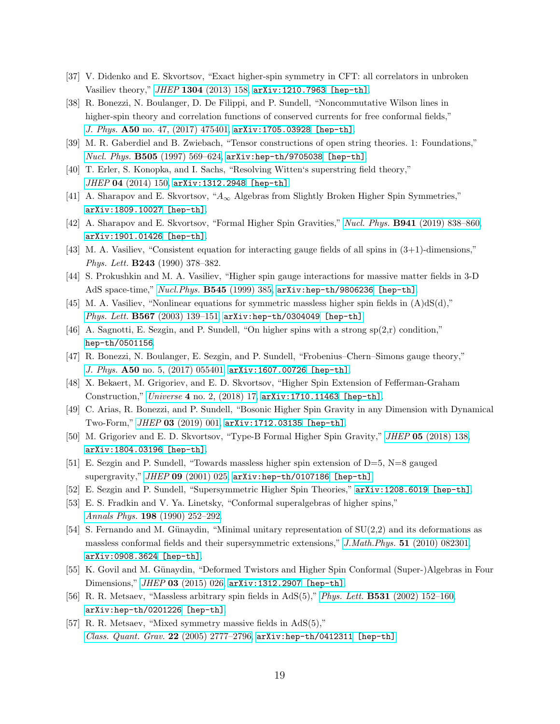- [37] V. Didenko and E. Skvortsov, "Exact higher-spin symmetry in CFT: all correlators in unbroken Vasiliev theory," JHEP 1304 [\(2013\) 158,](http://dx.doi.org/10.1007/JHEP04(2013)158) [arXiv:1210.7963 \[hep-th\]](http://arxiv.org/abs/1210.7963).
- <span id="page-19-3"></span>[38] R. Bonezzi, N. Boulanger, D. De Filippi, and P. Sundell, "Noncommutative Wilson lines in higher-spin theory and correlation functions of conserved currents for free conformal fields," J. Phys. A50 no. 47,  $(2017)$  475401, [arXiv:1705.03928 \[hep-th\]](http://arxiv.org/abs/1705.03928).
- <span id="page-19-0"></span>[39] M. R. Gaberdiel and B. Zwiebach, "Tensor constructions of open string theories. 1: Foundations," Nucl. Phys. B505 (1997) 569-624, [arXiv:hep-th/9705038 \[hep-th\]](http://arxiv.org/abs/hep-th/9705038).
- <span id="page-19-1"></span>[40] T. Erler, S. Konopka, and I. Sachs, "Resolving Witten's superstring field theory," JHEP 04 [\(2014\) 150,](http://dx.doi.org/10.1007/JHEP04(2014)150) [arXiv:1312.2948 \[hep-th\]](http://arxiv.org/abs/1312.2948).
- <span id="page-19-15"></span>[41] A. Sharapov and E. Skvortsov, " $A_{\infty}$  Algebras from Slightly Broken Higher Spin Symmetries," [arXiv:1809.10027 \[hep-th\]](http://arxiv.org/abs/1809.10027).
- <span id="page-19-2"></span>[42] A. Sharapov and E. Skvortsov, "Formal Higher Spin Gravities," Nucl. Phys. B941 [\(2019\) 838–860,](http://dx.doi.org/10.1016/j.nuclphysb.2019.02.011) [arXiv:1901.01426 \[hep-th\]](http://arxiv.org/abs/1901.01426).
- [43] M. A. Vasiliev, "Consistent equation for interacting gauge fields of all spins in (3+1)-dimensions," Phys. Lett. **B243** (1990) 378-382.
- [44] S. Prokushkin and M. A. Vasiliev, "Higher spin gauge interactions for massive matter fields in 3-D AdS space-time," Nucl.Phys. B545 [\(1999\) 385,](http://dx.doi.org/10.1016/S0550-3213(98)00839-6) [arXiv:hep-th/9806236 \[hep-th\]](http://arxiv.org/abs/hep-th/9806236).
- <span id="page-19-6"></span>[45] M. A. Vasiliev, "Nonlinear equations for symmetric massless higher spin fields in  $(A)dS(d)$ ," Phys. Lett.  $B567$  (2003) 139-151, [arXiv:hep-th/0304049 \[hep-th\]](http://arxiv.org/abs/hep-th/0304049).
- <span id="page-19-7"></span>[46] A. Sagnotti, E. Sezgin, and P. Sundell, "On higher spins with a strong  $sp(2,r)$  condition," [hep-th/0501156](http://arxiv.org/abs/hep-th/0501156).
- [47] R. Bonezzi, N. Boulanger, E. Sezgin, and P. Sundell, "Frobenius–Chern–Simons gauge theory," J. Phys. A50 no. 5,  $(2017)$  055401, [arXiv:1607.00726 \[hep-th\]](http://arxiv.org/abs/1607.00726).
- <span id="page-19-8"></span>[48] X. Bekaert, M. Grigoriev, and E. D. Skvortsov, "Higher Spin Extension of Fefferman-Graham Construction," Universe 4 [no. 2, \(2018\) 17,](http://dx.doi.org/10.3390/universe4020017) [arXiv:1710.11463 \[hep-th\]](http://arxiv.org/abs/1710.11463).
- <span id="page-19-9"></span>[49] C. Arias, R. Bonezzi, and P. Sundell, "Bosonic Higher Spin Gravity in any Dimension with Dynamical Two-Form," JHEP 03 [\(2019\) 001,](http://dx.doi.org/10.1007/JHEP03(2019)001) [arXiv:1712.03135 \[hep-th\]](http://arxiv.org/abs/1712.03135).
- <span id="page-19-4"></span>[50] M. Grigoriev and E. D. Skvortsov, "Type-B Formal Higher Spin Gravity," JHEP 05 [\(2018\) 138,](http://dx.doi.org/10.1007/JHEP05(2018)138) [arXiv:1804.03196 \[hep-th\]](http://arxiv.org/abs/1804.03196).
- <span id="page-19-5"></span>[51] E. Sezgin and P. Sundell, "Towards massless higher spin extension of D=5, N=8 gauged supergravity," JHEP 09 [\(2001\) 025,](http://dx.doi.org/10.1088/1126-6708/2001/09/025) [arXiv:hep-th/0107186 \[hep-th\]](http://arxiv.org/abs/hep-th/0107186).
- <span id="page-19-10"></span>[52] E. Sezgin and P. Sundell, "Supersymmetric Higher Spin Theories," [arXiv:1208.6019 \[hep-th\]](http://arxiv.org/abs/1208.6019).
- <span id="page-19-11"></span>[53] E. S. Fradkin and V. Ya. Linetsky, "Conformal superalgebras of higher spins," Annals Phys. 198 [\(1990\) 252–292.](http://dx.doi.org/10.1016/0003-4916(90)90252-J)
- <span id="page-19-14"></span>[54] S. Fernando and M. Günaydin, "Minimal unitary representation of  $SU(2,2)$  and its deformations as massless conformal fields and their supersymmetric extensions," J.Math.Phys. 51 [\(2010\) 082301,](http://dx.doi.org/10.1063/1.3447773) [arXiv:0908.3624 \[hep-th\]](http://arxiv.org/abs/0908.3624).
- <span id="page-19-12"></span>[55] K. Govil and M. Günaydin, "Deformed Twistors and Higher Spin Conformal (Super-)Algebras in Four Dimensions," JHEP 03 [\(2015\) 026,](http://dx.doi.org/10.1007/JHEP07(2014)004) [arXiv:1312.2907 \[hep-th\]](http://arxiv.org/abs/1312.2907).
- <span id="page-19-13"></span>[56] R. R. Metsaev, "Massless arbitrary spin fields in AdS(5)," Phys. Lett. B531 [\(2002\) 152–160,](http://dx.doi.org/10.1016/S0370-2693(02)01344-8) [arXiv:hep-th/0201226 \[hep-th\]](http://arxiv.org/abs/hep-th/0201226).
- [57] R. R. Metsaev, "Mixed symmetry massive fields in AdS(5)," [Class. Quant. Grav.](http://dx.doi.org/10.1088/0264-9381/22/13/016) 22 (2005) 2777-2796,  $arXiv:hep-th/0412311$  [hep-th].